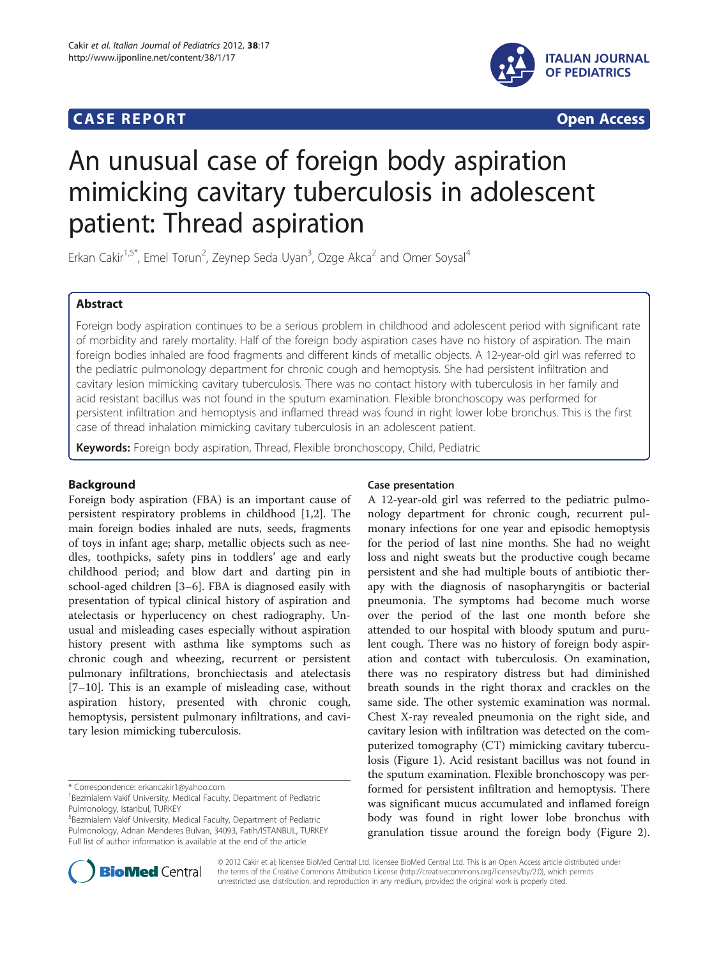## **CASE REPORT CASE REPORT CASE ACCESS**



# An unusual case of foreign body aspiration mimicking cavitary tuberculosis in adolescent patient: Thread aspiration

Erkan Cakir<sup>1,5\*</sup>, Emel Torun<sup>2</sup>, Zeynep Seda Uyan<sup>3</sup>, Ozge Akca<sup>2</sup> and Omer Soysal<sup>4</sup>

## Abstract

Foreign body aspiration continues to be a serious problem in childhood and adolescent period with significant rate of morbidity and rarely mortality. Half of the foreign body aspiration cases have no history of aspiration. The main foreign bodies inhaled are food fragments and different kinds of metallic objects. A 12-year-old girl was referred to the pediatric pulmonology department for chronic cough and hemoptysis. She had persistent infiltration and cavitary lesion mimicking cavitary tuberculosis. There was no contact history with tuberculosis in her family and acid resistant bacillus was not found in the sputum examination. Flexible bronchoscopy was performed for persistent infiltration and hemoptysis and inflamed thread was found in right lower lobe bronchus. This is the first case of thread inhalation mimicking cavitary tuberculosis in an adolescent patient.

Keywords: Foreign body aspiration, Thread, Flexible bronchoscopy, Child, Pediatric

## Background

Foreign body aspiration (FBA) is an important cause of persistent respiratory problems in childhood [[1,2\]](#page-2-0). The main foreign bodies inhaled are nuts, seeds, fragments of toys in infant age; sharp, metallic objects such as needles, toothpicks, safety pins in toddlers' age and early childhood period; and blow dart and darting pin in school-aged children [\[3](#page-2-0)–[6](#page-2-0)]. FBA is diagnosed easily with presentation of typical clinical history of aspiration and atelectasis or hyperlucency on chest radiography. Unusual and misleading cases especially without aspiration history present with asthma like symptoms such as chronic cough and wheezing, recurrent or persistent pulmonary infiltrations, bronchiectasis and atelectasis [[7](#page-2-0)–[10\]](#page-2-0). This is an example of misleading case, without aspiration history, presented with chronic cough, hemoptysis, persistent pulmonary infiltrations, and cavitary lesion mimicking tuberculosis.

5 Bezmialem Vakif University, Medical Faculty, Department of Pediatric Pulmonology, Adnan Menderes Bulvarı, 34093, Fatih/ISTANBUL, TURKEY Full list of author information is available at the end of the article

## Case presentation

A 12-year-old girl was referred to the pediatric pulmonology department for chronic cough, recurrent pulmonary infections for one year and episodic hemoptysis for the period of last nine months. She had no weight loss and night sweats but the productive cough became persistent and she had multiple bouts of antibiotic therapy with the diagnosis of nasopharyngitis or bacterial pneumonia. The symptoms had become much worse over the period of the last one month before she attended to our hospital with bloody sputum and purulent cough. There was no history of foreign body aspiration and contact with tuberculosis. On examination, there was no respiratory distress but had diminished breath sounds in the right thorax and crackles on the same side. The other systemic examination was normal. Chest X-ray revealed pneumonia on the right side, and cavitary lesion with infiltration was detected on the computerized tomography (CT) mimicking cavitary tuberculosis (Figure [1\)](#page-1-0). Acid resistant bacillus was not found in the sputum examination. Flexible bronchoscopy was performed for persistent infiltration and hemoptysis. There was significant mucus accumulated and inflamed foreign body was found in right lower lobe bronchus with granulation tissue around the foreign body (Figure [2](#page-1-0)).



© 2012 Cakir et al; licensee BioMed Central Ltd. licensee BioMed Central Ltd. This is an Open Access article distributed under the terms of the Creative Commons Attribution License [\(http://creativecommons.org/licenses/by/2.0\)](http://creativecommons.org/licenses/by/2.0), which permits unrestricted use, distribution, and reproduction in any medium, provided the original work is properly cited.

<sup>\*</sup> Correspondence: [erkancakir1@yahoo.com](mailto:erkancakir1@yahoo.com) <sup>1</sup>

<sup>&</sup>lt;sup>1</sup> Bezmialem Vakif University, Medical Faculty, Department of Pediatric Pulmonology, Istanbul, TURKEY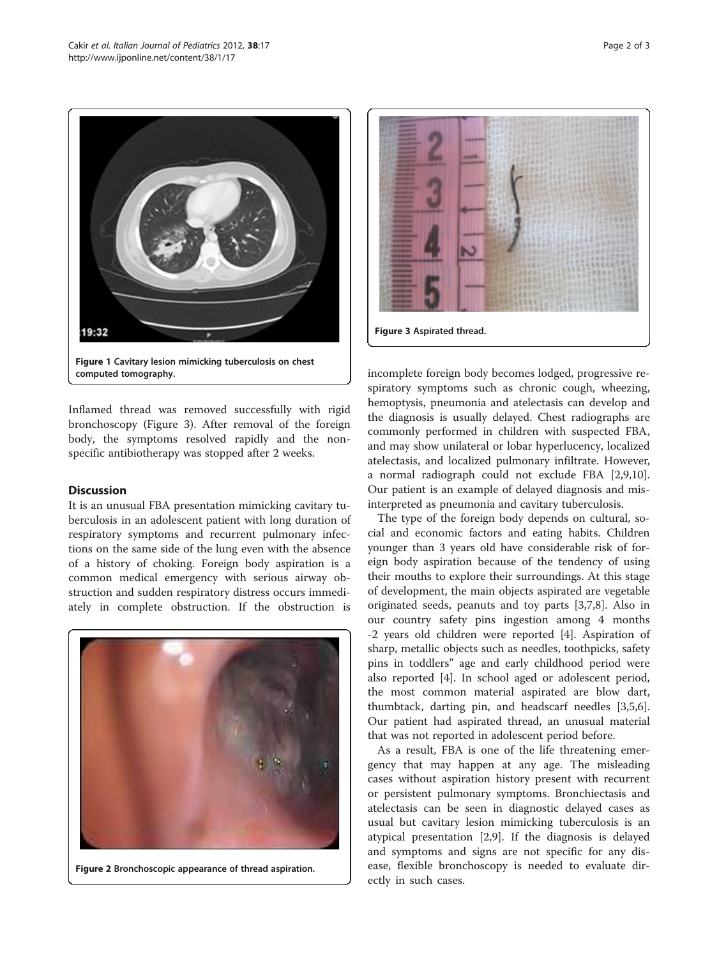<span id="page-1-0"></span>

Inflamed thread was removed successfully with rigid bronchoscopy (Figure 3). After removal of the foreign body, the symptoms resolved rapidly and the nonspecific antibiotherapy was stopped after 2 weeks.

## **Discussion**

It is an unusual FBA presentation mimicking cavitary tuberculosis in an adolescent patient with long duration of respiratory symptoms and recurrent pulmonary infections on the same side of the lung even with the absence of a history of choking. Foreign body aspiration is a common medical emergency with serious airway obstruction and sudden respiratory distress occurs immediately in complete obstruction. If the obstruction is



Figure 2 Bronchoscopic appearance of thread aspiration.



incomplete foreign body becomes lodged, progressive respiratory symptoms such as chronic cough, wheezing, hemoptysis, pneumonia and atelectasis can develop and the diagnosis is usually delayed. Chest radiographs are commonly performed in children with suspected FBA, and may show unilateral or lobar hyperlucency, localized atelectasis, and localized pulmonary infiltrate. However, a normal radiograph could not exclude FBA [\[2,9,10](#page-2-0)]. Our patient is an example of delayed diagnosis and misinterpreted as pneumonia and cavitary tuberculosis.

The type of the foreign body depends on cultural, social and economic factors and eating habits. Children younger than 3 years old have considerable risk of foreign body aspiration because of the tendency of using their mouths to explore their surroundings. At this stage of development, the main objects aspirated are vegetable originated seeds, peanuts and toy parts [\[3,7,8](#page-2-0)]. Also in our country safety pins ingestion among 4 months -2 years old children were reported [\[4](#page-2-0)]. Aspiration of sharp, metallic objects such as needles, toothpicks, safety pins in toddlers" age and early childhood period were also reported [[4\]](#page-2-0). In school aged or adolescent period, the most common material aspirated are blow dart, thumbtack, darting pin, and headscarf needles [\[3,5,6](#page-2-0)]. Our patient had aspirated thread, an unusual material that was not reported in adolescent period before.

As a result, FBA is one of the life threatening emergency that may happen at any age. The misleading cases without aspiration history present with recurrent or persistent pulmonary symptoms. Bronchiectasis and atelectasis can be seen in diagnostic delayed cases as usual but cavitary lesion mimicking tuberculosis is an atypical presentation [[2,9\]](#page-2-0). If the diagnosis is delayed and symptoms and signs are not specific for any disease, flexible bronchoscopy is needed to evaluate directly in such cases.